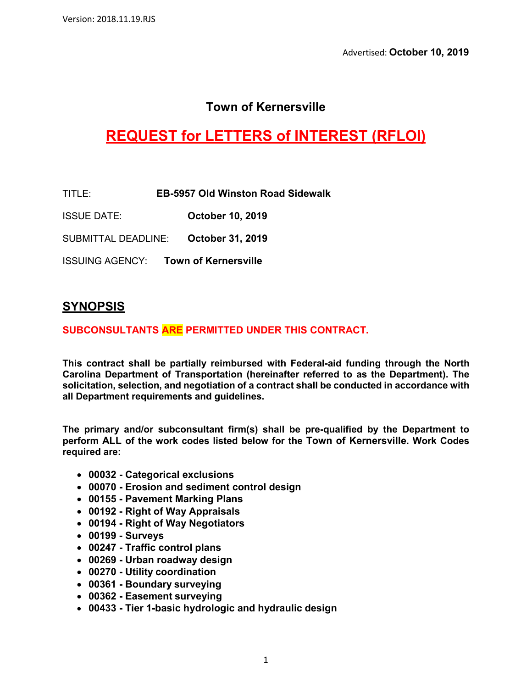## **Town of Kernersville**

# **REQUEST for LETTERS of INTEREST (RFLOI)**

TITLE: **EB-5957 Old Winston Road Sidewalk**

ISSUE DATE: **October 10, 2019**

SUBMITTAL DEADLINE: **October 31, 2019**

ISSUING AGENCY: **Town of Kernersville**

### **SYNOPSIS**

#### **SUBCONSULTANTS ARE PERMITTED UNDER THIS CONTRACT.**

**This contract shall be partially reimbursed with Federal-aid funding through the North Carolina Department of Transportation (hereinafter referred to as the Department). The solicitation, selection, and negotiation of a contract shall be conducted in accordance with all Department requirements and guidelines.**

**The primary and/or subconsultant firm(s) shall be pre-qualified by the Department to perform ALL of the work codes listed below for the Town of Kernersville. Work Codes required are:**

- **00032 - Categorical exclusions**
- **00070 - Erosion and sediment control design**
- **00155 - Pavement Marking Plans**
- **00192 - Right of Way Appraisals**
- **00194 - Right of Way Negotiators**
- **00199 - Surveys**
- **00247 - Traffic control plans**
- **00269 - Urban roadway design**
- **00270 - Utility coordination**
- **00361 - Boundary surveying**
- **00362 - Easement surveying**
- **00433 - Tier 1-basic hydrologic and hydraulic design**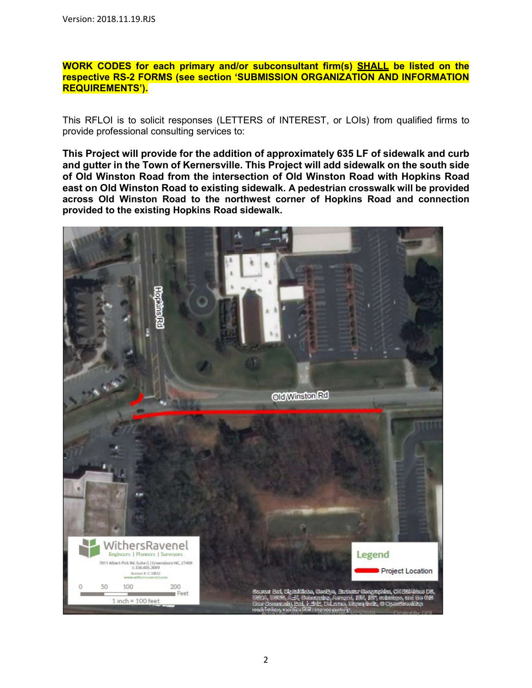#### **WORK CODES for each primary and/or subconsultant firm(s) SHALL be listed on the respective RS-2 FORMS (see section 'SUBMISSION ORGANIZATION AND INFORMATION REQUIREMENTS').**

This RFLOI is to solicit responses (LETTERS of INTEREST, or LOIs) from qualified firms to provide professional consulting services to:

**This Project will provide for the addition of approximately 635 LF of sidewalk and curb and gutter in the Town of Kernersville. This Project will add sidewalk on the south side of Old Winston Road from the intersection of Old Winston Road with Hopkins Road east on Old Winston Road to existing sidewalk. A pedestrian crosswalk will be provided across Old Winston Road to the northwest corner of Hopkins Road and connection provided to the existing Hopkins Road sidewalk.**

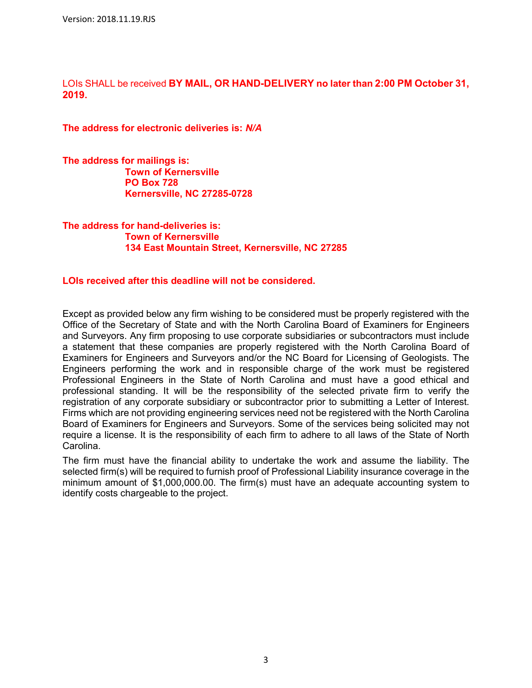LOIs SHALL be received **BY MAIL, OR HAND-DELIVERY no later than 2:00 PM October 31, 2019.**

**The address for electronic deliveries is:** *N/A*

**The address for mailings is: Town of Kernersville PO Box 728 Kernersville, NC 27285-0728**

**The address for hand-deliveries is: Town of Kernersville 134 East Mountain Street, Kernersville, NC 27285**

#### **LOIs received after this deadline will not be considered.**

Except as provided below any firm wishing to be considered must be properly registered with the Office of the Secretary of State and with the North Carolina Board of Examiners for Engineers and Surveyors. Any firm proposing to use corporate subsidiaries or subcontractors must include a statement that these companies are properly registered with the North Carolina Board of Examiners for Engineers and Surveyors and/or the NC Board for Licensing of Geologists. The Engineers performing the work and in responsible charge of the work must be registered Professional Engineers in the State of North Carolina and must have a good ethical and professional standing. It will be the responsibility of the selected private firm to verify the registration of any corporate subsidiary or subcontractor prior to submitting a Letter of Interest. Firms which are not providing engineering services need not be registered with the North Carolina Board of Examiners for Engineers and Surveyors. Some of the services being solicited may not require a license. It is the responsibility of each firm to adhere to all laws of the State of North Carolina.

The firm must have the financial ability to undertake the work and assume the liability. The selected firm(s) will be required to furnish proof of Professional Liability insurance coverage in the minimum amount of \$1,000,000.00. The firm(s) must have an adequate accounting system to identify costs chargeable to the project.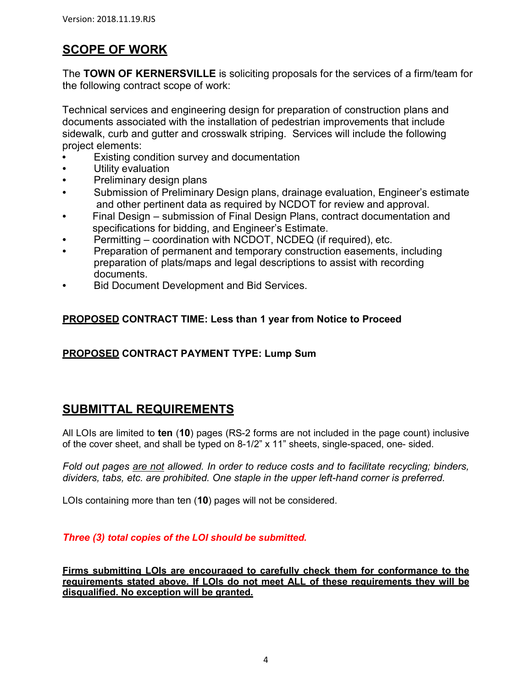## **SCOPE OF WORK**

The **TOWN OF KERNERSVILLE** is soliciting proposals for the services of a firm/team for the following contract scope of work:

Technical services and engineering design for preparation of construction plans and documents associated with the installation of pedestrian improvements that include sidewalk, curb and gutter and crosswalk striping. Services will include the following project elements:

- **•** Existing condition survey and documentation
- **•** Utility evaluation
- **•** Preliminary design plans
- **•** Submission of Preliminary Design plans, drainage evaluation, Engineer's estimate and other pertinent data as required by NCDOT for review and approval.
- **•** Final Design submission of Final Design Plans, contract documentation and specifications for bidding, and Engineer's Estimate.
- **•** Permitting coordination with NCDOT, NCDEQ (if required), etc.
- **•** Preparation of permanent and temporary construction easements, including preparation of plats/maps and legal descriptions to assist with recording documents.
- **•** Bid Document Development and Bid Services.

### **PROPOSED CONTRACT TIME: Less than 1 year from Notice to Proceed**

### **PROPOSED CONTRACT PAYMENT TYPE: Lump Sum**

### **SUBMITTAL REQUIREMENTS**

All LOIs are limited to **ten** (**10**) pages (RS-2 forms are not included in the page count) inclusive of the cover sheet, and shall be typed on 8-1/2" x 11" sheets, single-spaced, one- sided.

*Fold out pages are not allowed. In order to reduce costs and to facilitate recycling; binders, dividers, tabs, etc. are prohibited. One staple in the upper left-hand corner is preferred.*

LOIs containing more than ten (**10**) pages will not be considered.

*Three (3) total copies of the LOI should be submitted.*

**Firms submitting LOIs are encouraged to carefully check them for conformance to the requirements stated above. If LOIs do not meet ALL of these requirements they will be disqualified. No exception will be granted.**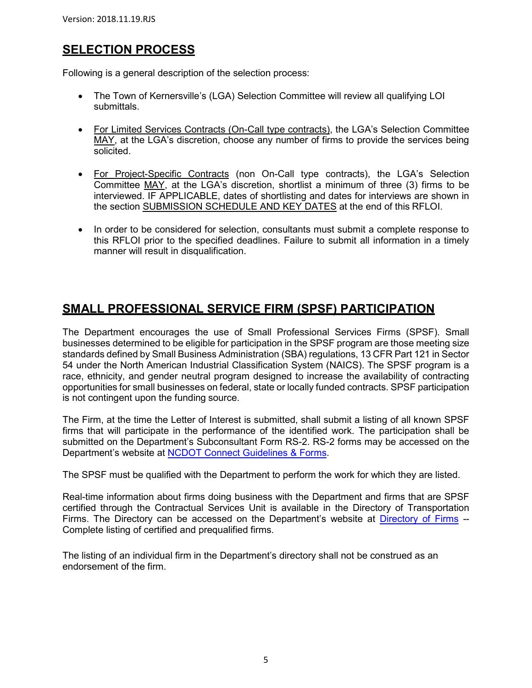### **SELECTION PROCESS**

Following is a general description of the selection process:

- The Town of Kernersville's (LGA) Selection Committee will review all qualifying LOI submittals.
- For Limited Services Contracts (On-Call type contracts), the LGA's Selection Committee MAY, at the LGA's discretion, choose any number of firms to provide the services being solicited.
- For Project-Specific Contracts (non On-Call type contracts), the LGA's Selection Committee MAY, at the LGA's discretion, shortlist a minimum of three (3) firms to be interviewed. IF APPLICABLE, dates of shortlisting and dates for interviews are shown in the section **SUBMISSION SCHEDULE AND KEY DATES** at the end of this RFLOI.
- In order to be considered for selection, consultants must submit a complete response to this RFLOI prior to the specified deadlines. Failure to submit all information in a timely manner will result in disqualification.

### **SMALL PROFESSIONAL SERVICE FIRM (SPSF) PARTICIPATION**

The Department encourages the use of Small Professional Services Firms (SPSF). Small businesses determined to be eligible for participation in the SPSF program are those meeting size standards defined by Small Business Administration (SBA) regulations, 13 CFR Part 121 in Sector 54 under the North American Industrial Classification System (NAICS). The SPSF program is a race, ethnicity, and gender neutral program designed to increase the availability of contracting opportunities for small businesses on federal, state or locally funded contracts. SPSF participation is not contingent upon the funding source.

The Firm, at the time the Letter of Interest is submitted, shall submit a listing of all known SPSF firms that will participate in the performance of the identified work. The participation shall be submitted on the Department's Subconsultant Form RS-2. RS-2 forms may be accessed on the Department's website at [NCDOT Connect Guidelines & Forms.](https://connect.ncdot.gov/business/consultants/Pages/Guidelines-Forms.aspx)

The SPSF must be qualified with the Department to perform the work for which they are listed.

Real-time information about firms doing business with the Department and firms that are SPSF certified through the Contractual Services Unit is available in the Directory of Transportation Firms. The Directory can be accessed on the Department's website at [Directory of Firms](https://www.ebs.nc.gov/VendorDirectory/default.html) -- Complete listing of certified and prequalified firms.

The listing of an individual firm in the Department's directory shall not be construed as an endorsement of the firm.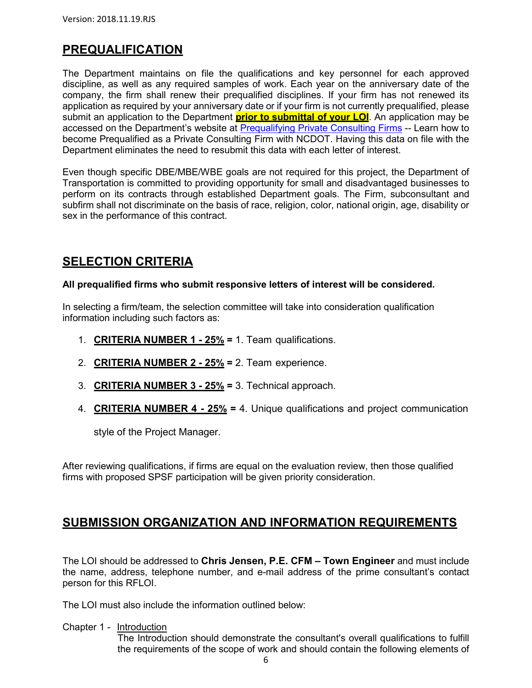## **PREQUALIFICATION**

The Department maintains on file the qualifications and key personnel for each approved discipline, as well as any required samples of work. Each year on the anniversary date of the company, the firm shall renew their prequalified disciplines. If your firm has not renewed its application as required by your anniversary date or if your firm is not currently prequalified, please submit an application to the Department **prior to submittal of your LOI**. An application may be accessed on the Department's website at [Prequalifying Private Consulting Firms](https://connect.ncdot.gov/business/Prequal/Pages/Private-Consulting-Firm.aspx) -- Learn how to become Prequalified as a Private Consulting Firm with NCDOT. Having this data on file with the Department eliminates the need to resubmit this data with each letter of interest.

Even though specific DBE/MBE/WBE goals are not required for this project, the Department of Transportation is committed to providing opportunity for small and disadvantaged businesses to perform on its contracts through established Department goals. The Firm, subconsultant and subfirm shall not discriminate on the basis of race, religion, color, national origin, age, disability or sex in the performance of this contract.

### **SELECTION CRITERIA**

#### **All prequalified firms who submit responsive letters of interest will be considered.**

In selecting a firm/team, the selection committee will take into consideration qualification information including such factors as:

- 1. **CRITERIA NUMBER 1 - 25% =** 1. Team qualifications.
- 2. **CRITERIA NUMBER 2 - 25% =** 2. Team experience.
- 3. **CRITERIA NUMBER 3 - 25% =** 3. Technical approach.
- 4. **CRITERIA NUMBER 4 - 25% =** 4. Unique qualifications and project communication

style of the Project Manager.

After reviewing qualifications, if firms are equal on the evaluation review, then those qualified firms with proposed SPSF participation will be given priority consideration.

### **SUBMISSION ORGANIZATION AND INFORMATION REQUIREMENTS**

The LOI should be addressed to **Chris Jensen, P.E. CFM – Town Engineer** and must include the name, address, telephone number, and e-mail address of the prime consultant's contact person for this RFLOI.

The LOI must also include the information outlined below:

Chapter 1 - Introduction

The Introduction should demonstrate the consultant's overall qualifications to fulfill the requirements of the scope of work and should contain the following elements of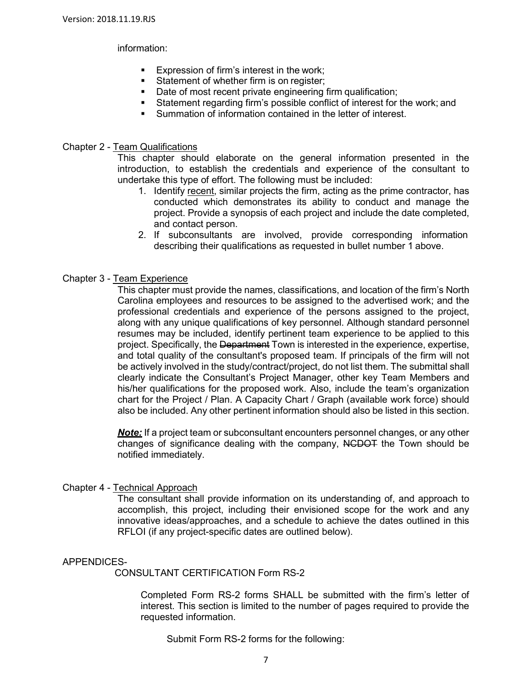#### information:

- **Expression of firm's interest in the work;**
- Statement of whether firm is on register;
- Date of most recent private engineering firm qualification;
- Statement regarding firm's possible conflict of interest for the work; and
- Summation of information contained in the letter of interest.

#### Chapter 2 - Team Qualifications

This chapter should elaborate on the general information presented in the introduction, to establish the credentials and experience of the consultant to undertake this type of effort. The following must be included:

- 1. Identify recent, similar projects the firm, acting as the prime contractor, has conducted which demonstrates its ability to conduct and manage the project. Provide a synopsis of each project and include the date completed, and contact person.
- 2. If subconsultants are involved, provide corresponding information describing their qualifications as requested in bullet number 1 above.

#### Chapter 3 - Team Experience

This chapter must provide the names, classifications, and location of the firm's North Carolina employees and resources to be assigned to the advertised work; and the professional credentials and experience of the persons assigned to the project, along with any unique qualifications of key personnel. Although standard personnel resumes may be included, identify pertinent team experience to be applied to this project. Specifically, the Department Town is interested in the experience, expertise, and total quality of the consultant's proposed team. If principals of the firm will not be actively involved in the study/contract/project, do not list them. The submittal shall clearly indicate the Consultant's Project Manager, other key Team Members and his/her qualifications for the proposed work. Also, include the team's organization chart for the Project / Plan. A Capacity Chart / Graph (available work force) should also be included. Any other pertinent information should also be listed in this section.

*Note:* If a project team or subconsultant encounters personnel changes, or any other changes of significance dealing with the company,  $NCDO+T$  the Town should be notified immediately.

#### Chapter 4 - Technical Approach

The consultant shall provide information on its understanding of, and approach to accomplish, this project, including their envisioned scope for the work and any innovative ideas/approaches, and a schedule to achieve the dates outlined in this RFLOI (if any project-specific dates are outlined below).

#### APPENDICES-

CONSULTANT CERTIFICATION Form RS-2

Completed Form RS-2 forms SHALL be submitted with the firm's letter of interest. This section is limited to the number of pages required to provide the requested information.

Submit Form RS-2 forms for the following: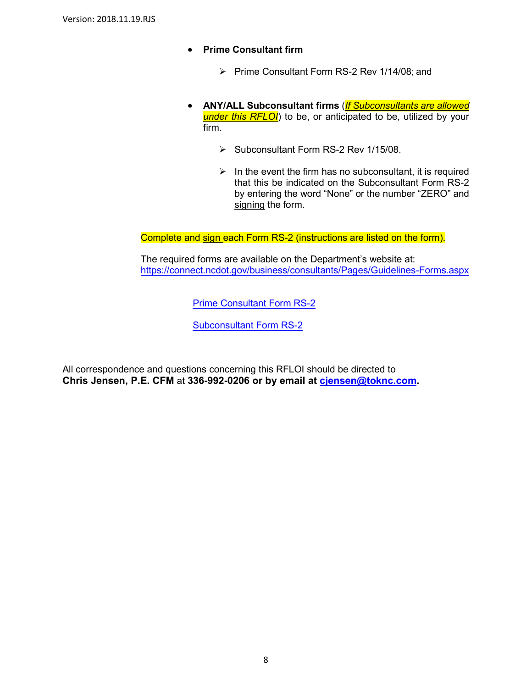- **Prime Consultant firm**
	- Prime Consultant Form RS-2 Rev 1/14/08; and
- **ANY/ALL Subconsultant firms** (*If Subconsultants are allowed under this RFLOI*) to be, or anticipated to be, utilized by your firm.
	- $\triangleright$  Subconsultant Form RS-2 Rev 1/15/08.
	- $\triangleright$  In the event the firm has no subconsultant, it is required that this be indicated on the Subconsultant Form RS-2 by entering the word "None" or the number "ZERO" and signing the form.

Complete and sign each Form RS-2 (instructions are listed on the form).

The required forms are available on the Department's website at: <https://connect.ncdot.gov/business/consultants/Pages/Guidelines-Forms.aspx>

[Prime Consultant Form RS-2](https://connect.ncdot.gov/business/consultants/Roadway/Form%20RS-2%20Prime%20Contractor.pdf)

[Subconsultant Form RS-2](https://connect.ncdot.gov/business/consultants/Roadway/Form%20RS-2%20Subcontract.pdf)

All correspondence and questions concerning this RFLOI should be directed to **Chris Jensen, P.E. CFM** at **336-992-0206 or by email at [cjensen@toknc.com.](mailto:cjensen@toknc.com)**